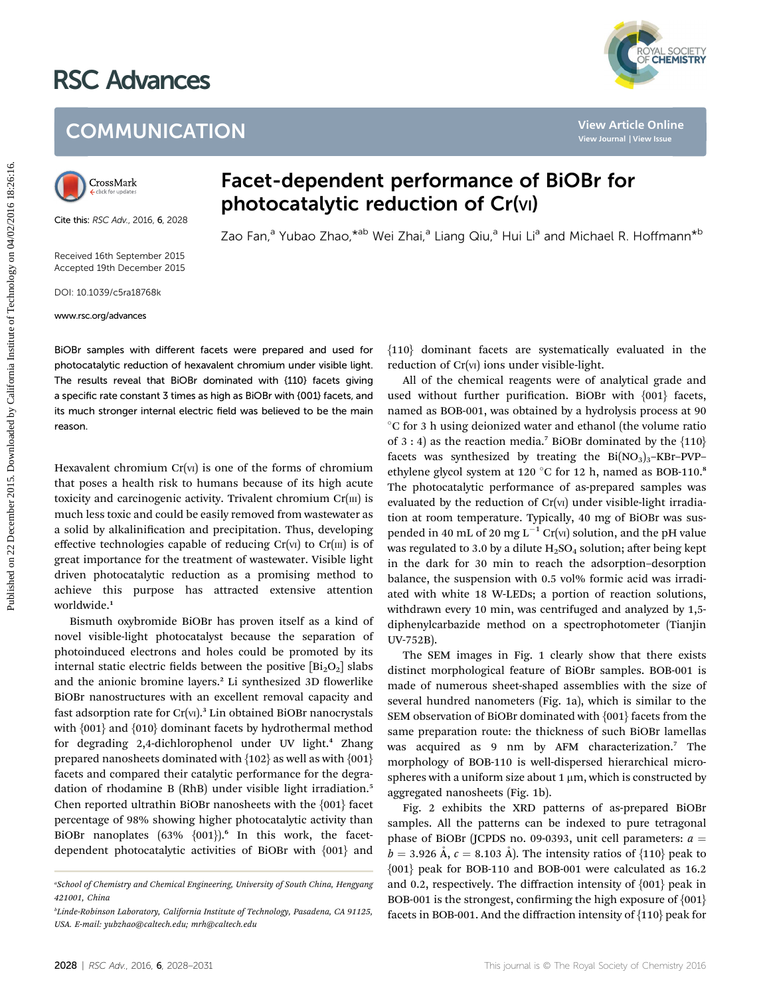# RSC Advances



### **COMMUNICATION**

Cite this: RSC Adv., 2016, 6, 2028

## Facet-dependent performance of BiOBr for photocatalytic reduction of Cr(vi)

Zao Fan,<sup>a</sup> Yubao Zhao,<sup>\*ab</sup> Wei Zhai,<sup>a</sup> Liang Qiu,<sup>a</sup> Hui Li<sup>a</sup> and Michael R. Hoffmann<sup>\*b</sup>

Received 16th September 2015 Accepted 19th December 2015

DOI: 10.1039/c5ra18768k

www.rsc.org/advances

BiOBr samples with different facets were prepared and used for photocatalytic reduction of hexavalent chromium under visible light. The results reveal that BiOBr dominated with {110} facets giving a specific rate constant 3 times as high as BiOBr with {001} facets, and its much stronger internal electric field was believed to be the main reason.

Hexavalent chromium  $Cr(v)$  is one of the forms of chromium that poses a health risk to humans because of its high acute toxicity and carcinogenic activity. Trivalent chromium  $Cr(m)$  is much less toxic and could be easily removed from wastewater as a solid by alkalinification and precipitation. Thus, developing effective technologies capable of reducing  $Cr(w)$  to  $Cr(m)$  is of great importance for the treatment of wastewater. Visible light driven photocatalytic reduction as a promising method to achieve this purpose has attracted extensive attention worldwide.<sup>1</sup>

Bismuth oxybromide BiOBr has proven itself as a kind of novel visible-light photocatalyst because the separation of photoinduced electrons and holes could be promoted by its internal static electric fields between the positive  $[Bi<sub>2</sub>O<sub>2</sub>]$  slabs and the anionic bromine layers.<sup>2</sup> Li synthesized 3D flowerlike BiOBr nanostructures with an excellent removal capacity and fast adsorption rate for  $Cr(w)$ .<sup>3</sup> Lin obtained BiOBr nanocrystals with {001} and {010} dominant facets by hydrothermal method for degrading 2,4-dichlorophenol under UV light.<sup>4</sup> Zhang prepared nanosheets dominated with {102} as well as with {001} facets and compared their catalytic performance for the degradation of rhodamine B (RhB) under visible light irradiation.<sup>5</sup> Chen reported ultrathin BiOBr nanosheets with the {001} facet percentage of 98% showing higher photocatalytic activity than BiOBr nanoplates  $(63\% \{001\})$ <sup>6</sup> In this work, the facetdependent photocatalytic activities of BiOBr with {001} and {110} dominant facets are systematically evaluated in the reduction of Cr(vI) ions under visible-light.

All of the chemical reagents were of analytical grade and used without further purification. BiOBr with  $\{001\}$  facets, named as BOB-001, was obtained by a hydrolysis process at 90 <sup>°</sup>C for 3 h using deionized water and ethanol (the volume ratio of 3 : 4) as the reaction media.<sup>7</sup> BiOBr dominated by the  $\{110\}$ facets was synthesized by treating the  $Bi(NO<sub>3</sub>)<sub>3</sub>–KBr–PVP–$ ethylene glycol system at 120 °C for 12 h, named as BOB-110.8 The photocatalytic performance of as-prepared samples was evaluated by the reduction of  $Cr(v)$  under visible-light irradiation at room temperature. Typically, 40 mg of BiOBr was suspended in 40 mL of 20 mg  $L^{-1}$  Cr(v<sub>I</sub>) solution, and the pH value was regulated to 3.0 by a dilute  $H_2SO_4$  solution; after being kept in the dark for 30 min to reach the adsorption–desorption balance, the suspension with 0.5 vol% formic acid was irradiated with white 18 W-LEDs; a portion of reaction solutions, withdrawn every 10 min, was centrifuged and analyzed by 1,5 diphenylcarbazide method on a spectrophotometer (Tianjin UV-752B). **Published on 22**<br> **Published on 22 December 2015**<br> **Published on 22 December 2015**<br> **Published on 22 December 2015**<br> **Published SCALIFORE 2015**<br> **Published SCALIFORE 2015**<br> **Published SCALIFORE 2015**<br> **Published SCALIFORE** 

> The SEM images in Fig. 1 clearly show that there exists distinct morphological feature of BiOBr samples. BOB-001 is made of numerous sheet-shaped assemblies with the size of several hundred nanometers (Fig. 1a), which is similar to the SEM observation of BiOBr dominated with {001} facets from the same preparation route: the thickness of such BiOBr lamellas was acquired as 9 nm by AFM characterization.<sup>7</sup> The morphology of BOB-110 is well-dispersed hierarchical microspheres with a uniform size about  $1 \mu m$ , which is constructed by aggregated nanosheets (Fig. 1b).

> Fig. 2 exhibits the XRD patterns of as-prepared BiOBr samples. All the patterns can be indexed to pure tetragonal phase of BiOBr (JCPDS no. 09-0393, unit cell parameters:  $a =$  $b = 3.926$  Å,  $c = 8.103$  Å). The intensity ratios of  $\{110\}$  peak to {001} peak for BOB-110 and BOB-001 were calculated as 16.2 and 0.2, respectively. The diffraction intensity of {001} peak in BOB-001 is the strongest, confirming the high exposure of  $\{001\}$ facets in BOB-001. And the diffraction intensity of {110} peak for

a School of Chemistry and Chemical Engineering, University of South China, Hengyang 421001, China

<sup>&</sup>lt;sup>b</sup>Linde-Robinson Laboratory, California Institute of Technology, Pasadena, CA 91125, USA. E-mail: yubzhao@caltech.edu; mrh@caltech.edu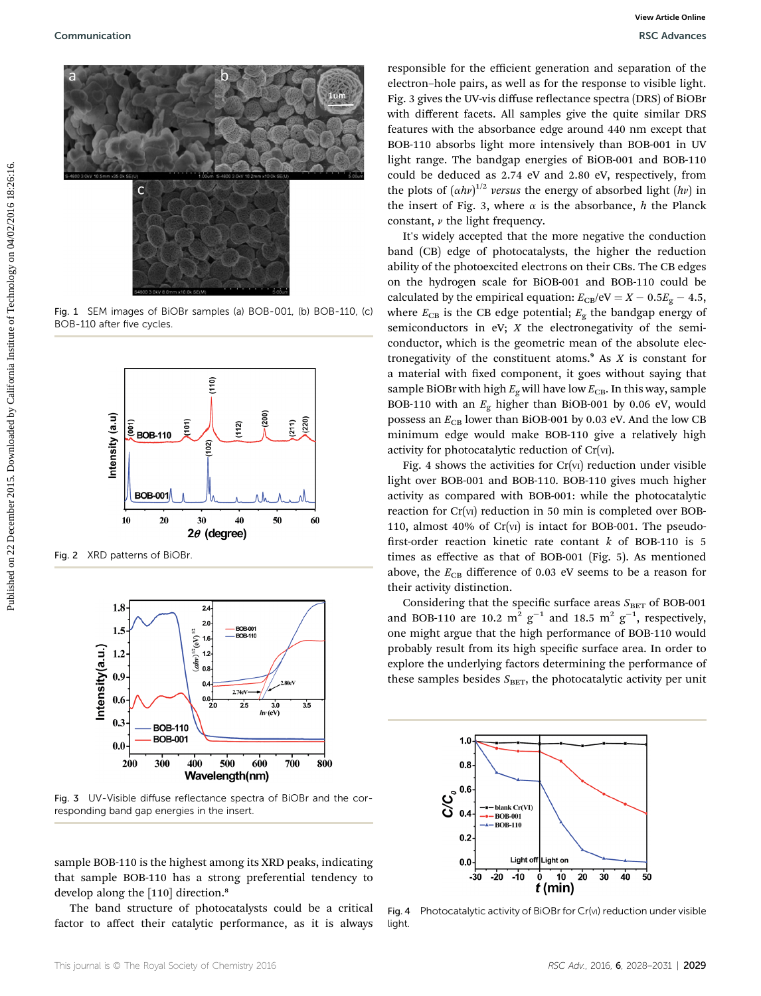

Fig. 1 SEM images of BiOBr samples (a) BOB-001, (b) BOB-110, (c) BOB-110 after five cycles.



Fig. 2 XRD patterns of BiOBr.



Fig. 3 UV-Visible diffuse reflectance spectra of BiOBr and the corresponding band gap energies in the insert.

sample BOB-110 is the highest among its XRD peaks, indicating that sample BOB-110 has a strong preferential tendency to develop along the [110] direction.<sup>8</sup>

The band structure of photocatalysts could be a critical factor to affect their catalytic performance, as it is always

responsible for the efficient generation and separation of the electron–hole pairs, as well as for the response to visible light. Fig. 3 gives the UV-vis diffuse reflectance spectra (DRS) of BiOBr with different facets. All samples give the quite similar DRS features with the absorbance edge around 440 nm except that BOB-110 absorbs light more intensively than BOB-001 in UV light range. The bandgap energies of BiOB-001 and BOB-110 could be deduced as 2.74 eV and 2.80 eV, respectively, from the plots of  $(\alpha h\nu)^{1/2}$  versus the energy of absorbed light  $(h\nu)$  in the insert of Fig. 3, where  $\alpha$  is the absorbance, h the Planck constant,  $\nu$  the light frequency.

It's widely accepted that the more negative the conduction band (CB) edge of photocatalysts, the higher the reduction ability of the photoexcited electrons on their CBs. The CB edges on the hydrogen scale for BiOB-001 and BOB-110 could be calculated by the empirical equation:  $E_{CB}/eV = X - 0.5E_{g} - 4.5$ , where  $E_{CB}$  is the CB edge potential;  $E_g$  the bandgap energy of semiconductors in eV; X the electronegativity of the semiconductor, which is the geometric mean of the absolute electronegativity of the constituent atoms. $9$  As X is constant for a material with fixed component, it goes without saying that sample BiOBr with high  $E<sub>g</sub>$  will have low  $E<sub>CB</sub>$ . In this way, sample BOB-110 with an  $E<sub>g</sub>$  higher than BiOB-001 by 0.06 eV, would possess an  $E_{CB}$  lower than BiOB-001 by 0.03 eV. And the low CB minimum edge would make BOB-110 give a relatively high activity for photocatalytic reduction of  $Cr(v)$ .

Fig. 4 shows the activities for  $Cr(v)$  reduction under visible light over BOB-001 and BOB-110. BOB-110 gives much higher activity as compared with BOB-001: while the photocatalytic reaction for  $Cr(v)$  reduction in 50 min is completed over BOB-110, almost 40% of  $Cr(v)$  is intact for BOB-001. The pseudofirst-order reaction kinetic rate contant  $k$  of BOB-110 is 5 times as effective as that of BOB-001 (Fig. 5). As mentioned above, the  $E_{CB}$  difference of 0.03 eV seems to be a reason for their activity distinction.

Considering that the specific surface areas  $S_{\text{BET}}$  of BOB-001 and BOB-110 are 10.2  $m^2$   $g^{-1}$  and 18.5  $m^2$   $g^{-1}$ , respectively, one might argue that the high performance of BOB-110 would probably result from its high specific surface area. In order to explore the underlying factors determining the performance of these samples besides  $S<sub>BET</sub>$ , the photocatalytic activity per unit



Fig. 4 Photocatalytic activity of BiOBr for Cr(vI) reduction under visible light.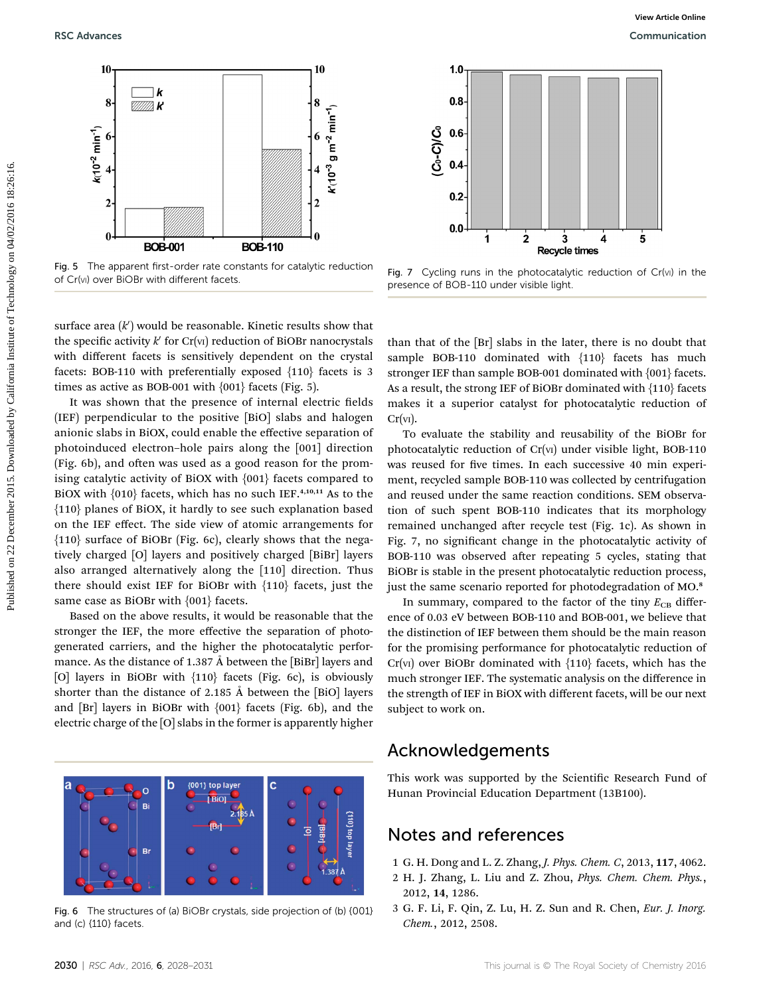

Fig. 5 The apparent first-order rate constants for catalytic reduction of Cr(VI) over BiOBr with different facets.



Fig. 7 Cycling runs in the photocatalytic reduction of  $Cr(v)$  in the presence of BOB-110 under visible light.

surface area  $(k^{\prime})$  would be reasonable. Kinetic results show that the specific activity  $k'$  for Cr(v<sub>I</sub>) reduction of BiOBr nanocrystals with different facets is sensitively dependent on the crystal facets: BOB-110 with preferentially exposed {110} facets is 3 times as active as BOB-001 with {001} facets (Fig. 5).

It was shown that the presence of internal electric fields (IEF) perpendicular to the positive [BiO] slabs and halogen anionic slabs in BiOX, could enable the effective separation of photoinduced electron–hole pairs along the [001] direction (Fig. 6b), and often was used as a good reason for the promising catalytic activity of BiOX with {001} facets compared to BiOX with  $\{010\}$  facets, which has no such IEF.<sup>4,10,11</sup> As to the {110} planes of BiOX, it hardly to see such explanation based on the IEF effect. The side view of atomic arrangements for {110} surface of BiOBr (Fig. 6c), clearly shows that the negatively charged [O] layers and positively charged [BiBr] layers also arranged alternatively along the [110] direction. Thus there should exist IEF for BiOBr with {110} facets, just the same case as BiOBr with {001} facets. **PUBLIC CONDUCTS**<br> **PUBLIC CONDUCTS**<br> **PUBLIC CONDUCTS**<br> **PUBLIC CONDUCTS**<br> **PUBLIC CONDUCTS**<br> **PUBLIC CONDUCTS**<br> **PUBLIC CONDUCTS**<br> **PUBLIC CONDUCTS**<br> **PUBLIC CONDUCTS**<br> **PUBLIC CONDUCTS**<br> **PUBLIC CONDUCTS**<br> **PUBLIC COND** 

Based on the above results, it would be reasonable that the stronger the IEF, the more effective the separation of photogenerated carriers, and the higher the photocatalytic performance. As the distance of 1.387  $\AA$  between the [BiBr] layers and [O] layers in BiOBr with {110} facets (Fig. 6c), is obviously shorter than the distance of 2.185  $\AA$  between the [BiO] layers and  $[Br]$  layers in BiOBr with  $\{001\}$  facets (Fig. 6b), and the electric charge of the [O] slabs in the former is apparently higher



Fig. 6 The structures of (a) BiOBr crystals, side projection of (b) {001} and (c) {110} facets.

than that of the [Br] slabs in the later, there is no doubt that sample BOB-110 dominated with {110} facets has much stronger IEF than sample BOB-001 dominated with {001} facets. As a result, the strong IEF of BiOBr dominated with {110} facets makes it a superior catalyst for photocatalytic reduction of  $Cr(v)$ .

To evaluate the stability and reusability of the BiOBr for photocatalytic reduction of  $Cr(w)$  under visible light, BOB-110 was reused for five times. In each successive 40 min experiment, recycled sample BOB-110 was collected by centrifugation and reused under the same reaction conditions. SEM observation of such spent BOB-110 indicates that its morphology remained unchanged after recycle test (Fig. 1c). As shown in Fig. 7, no signicant change in the photocatalytic activity of BOB-110 was observed after repeating 5 cycles, stating that BiOBr is stable in the present photocatalytic reduction process, just the same scenario reported for photodegradation of MO.<sup>8</sup>

In summary, compared to the factor of the tiny  $E_{CB}$  difference of 0.03 eV between BOB-110 and BOB-001, we believe that the distinction of IEF between them should be the main reason for the promising performance for photocatalytic reduction of  $Cr(v)$  over BiOBr dominated with  ${110}$  facets, which has the much stronger IEF. The systematic analysis on the difference in the strength of IEF in BiOX with different facets, will be our next subject to work on.

#### Acknowledgements

This work was supported by the Scientific Research Fund of Hunan Provincial Education Department (13B100).

### Notes and references

- 1 G. H. Dong and L. Z. Zhang, J. Phys. Chem. C, 2013, 117, 4062.
- 2 H. J. Zhang, L. Liu and Z. Zhou, Phys. Chem. Chem. Phys., 2012, 14, 1286.
- 3 G. F. Li, F. Qin, Z. Lu, H. Z. Sun and R. Chen, Eur. J. Inorg. Chem., 2012, 2508.